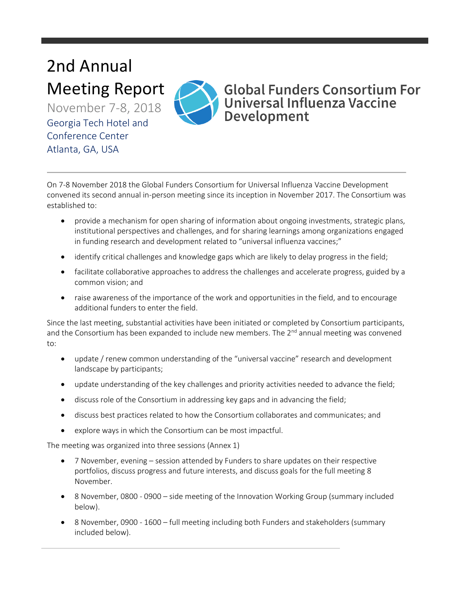# 2nd Annual Meeting Report

November 7-8, 2018 Georgia Tech Hotel and Conference Center Atlanta, GA, USA



## **Global Funders Consortium For** Universal Influenza Vaccine Development

On 7-8 November 2018 the Global Funders Consortium for Universal Influenza Vaccine Development convened its second annual in-person meeting since its inception in November 2017. The Consortium was established to:

- provide a mechanism for open sharing of information about ongoing investments, strategic plans, institutional perspectives and challenges, and for sharing learnings among organizations engaged in funding research and development related to "universal influenza vaccines;"
- identify critical challenges and knowledge gaps which are likely to delay progress in the field;
- facilitate collaborative approaches to address the challenges and accelerate progress, guided by a common vision; and
- raise awareness of the importance of the work and opportunities in the field, and to encourage additional funders to enter the field.

Since the last meeting, substantial activities have been initiated or completed by Consortium participants, and the Consortium has been expanded to include new members. The  $2^{nd}$  annual meeting was convened to:

- update / renew common understanding of the "universal vaccine" research and development landscape by participants;
- update understanding of the key challenges and priority activities needed to advance the field;
- discuss role of the Consortium in addressing key gaps and in advancing the field;
- discuss best practices related to how the Consortium collaborates and communicates; and
- explore ways in which the Consortium can be most impactful.

The meeting was organized into three sessions (Annex 1)

- 7 November, evening session attended by Funders to share updates on their respective portfolios, discuss progress and future interests, and discuss goals for the full meeting 8 November.
- 8 November, 0800 0900 side meeting of the Innovation Working Group (summary included below).
- 8 November, 0900 1600 full meeting including both Funders and stakeholders (summary included below).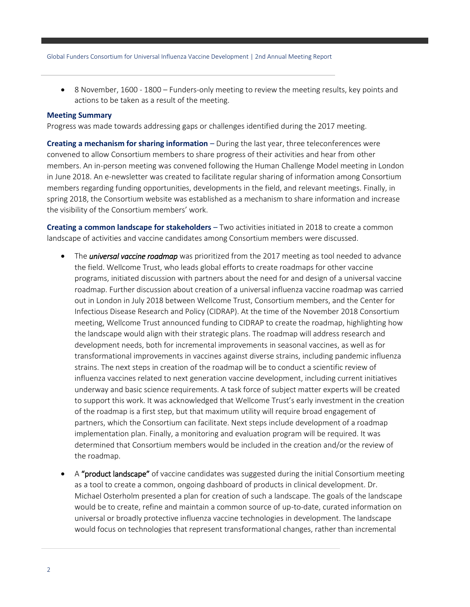8 November, 1600 - 1800 – Funders-only meeting to review the meeting results, key points and actions to be taken as a result of the meeting.

#### **Meeting Summary**

Progress was made towards addressing gaps or challenges identified during the 2017 meeting.

**Creating a mechanism for sharing information** – During the last year, three teleconferences were convened to allow Consortium members to share progress of their activities and hear from other members. An in-person meeting was convened following the Human Challenge Model meeting in London in June 2018. An e-newsletter was created to facilitate regular sharing of information among Consortium members regarding funding opportunities, developments in the field, and relevant meetings. Finally, in spring 2018, the Consortium website was established as a mechanism to share information and increase the visibility of the Consortium members' work.

**Creating a common landscape for stakeholders** – Two activities initiated in 2018 to create a common landscape of activities and vaccine candidates among Consortium members were discussed.

- The *universal vaccine roadmap* was prioritized from the 2017 meeting as tool needed to advance the field. Wellcome Trust, who leads global efforts to create roadmaps for other vaccine programs, initiated discussion with partners about the need for and design of a universal vaccine roadmap. Further discussion about creation of a universal influenza vaccine roadmap was carried out in London in July 2018 between Wellcome Trust, Consortium members, and the Center for Infectious Disease Research and Policy (CIDRAP). At the time of the November 2018 Consortium meeting, Wellcome Trust announced funding to CIDRAP to create the roadmap, highlighting how the landscape would align with their strategic plans. The roadmap will address research and development needs, both for incremental improvements in seasonal vaccines, as well as for transformational improvements in vaccines against diverse strains, including pandemic influenza strains. The next steps in creation of the roadmap will be to conduct a scientific review of influenza vaccines related to next generation vaccine development, including current initiatives underway and basic science requirements. A task force of subject matter experts will be created to support this work. It was acknowledged that Wellcome Trust's early investment in the creation of the roadmap is a first step, but that maximum utility will require broad engagement of partners, which the Consortium can facilitate. Next steps include development of a roadmap implementation plan. Finally, a monitoring and evaluation program will be required. It was determined that Consortium members would be included in the creation and/or the review of the roadmap.
- A "product landscape" of vaccine candidates was suggested during the initial Consortium meeting as a tool to create a common, ongoing dashboard of products in clinical development. Dr. Michael Osterholm presented a plan for creation of such a landscape. The goals of the landscape would be to create, refine and maintain a common source of up-to-date, curated information on universal or broadly protective influenza vaccine technologies in development. The landscape would focus on technologies that represent transformational changes, rather than incremental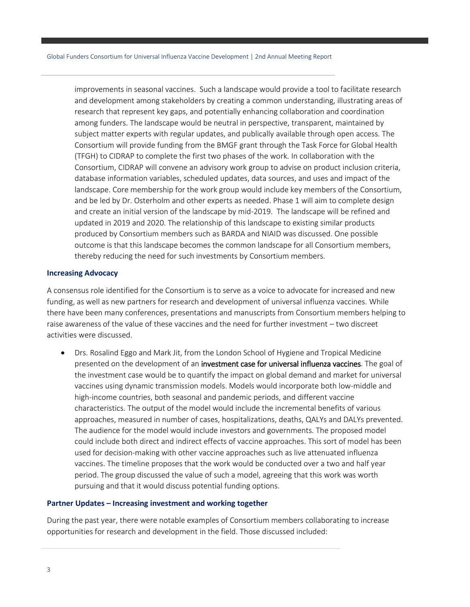improvements in seasonal vaccines. Such a landscape would provide a tool to facilitate research and development among stakeholders by creating a common understanding, illustrating areas of research that represent key gaps, and potentially enhancing collaboration and coordination among funders. The landscape would be neutral in perspective, transparent, maintained by subject matter experts with regular updates, and publically available through open access. The Consortium will provide funding from the BMGF grant through the Task Force for Global Health (TFGH) to CIDRAP to complete the first two phases of the work. In collaboration with the Consortium, CIDRAP will convene an advisory work group to advise on product inclusion criteria, database information variables, scheduled updates, data sources, and uses and impact of the landscape. Core membership for the work group would include key members of the Consortium, and be led by Dr. Osterholm and other experts as needed. Phase 1 will aim to complete design and create an initial version of the landscape by mid-2019. The landscape will be refined and updated in 2019 and 2020. The relationship of this landscape to existing similar products produced by Consortium members such as BARDA and NIAID was discussed. One possible outcome is that this landscape becomes the common landscape for all Consortium members, thereby reducing the need for such investments by Consortium members.

#### **Increasing Advocacy**

A consensus role identified for the Consortium is to serve as a voice to advocate for increased and new funding, as well as new partners for research and development of universal influenza vaccines. While there have been many conferences, presentations and manuscripts from Consortium members helping to raise awareness of the value of these vaccines and the need for further investment – two discreet activities were discussed.

 Drs. Rosalind Eggo and Mark Jit, from the London School of Hygiene and Tropical Medicine presented on the development of an investment case for universal influenza vaccines. The goal of the investment case would be to quantify the impact on global demand and market for universal vaccines using dynamic transmission models. Models would incorporate both low-middle and high-income countries, both seasonal and pandemic periods, and different vaccine characteristics. The output of the model would include the incremental benefits of various approaches, measured in number of cases, hospitalizations, deaths, QALYs and DALYs prevented. The audience for the model would include investors and governments. The proposed model could include both direct and indirect effects of vaccine approaches. This sort of model has been used for decision-making with other vaccine approaches such as live attenuated influenza vaccines. The timeline proposes that the work would be conducted over a two and half year period. The group discussed the value of such a model, agreeing that this work was worth pursuing and that it would discuss potential funding options.

#### **Partner Updates – Increasing investment and working together**

During the past year, there were notable examples of Consortium members collaborating to increase opportunities for research and development in the field. Those discussed included: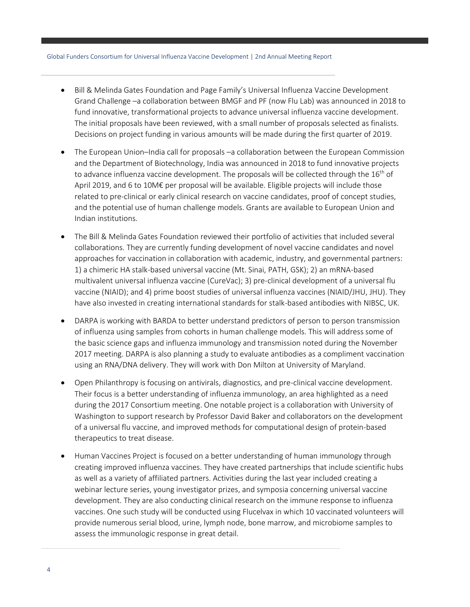- Bill & Melinda Gates Foundation and Page Family's Universal Influenza Vaccine Development Grand Challenge –a collaboration between BMGF and PF (now Flu Lab) was announced in 2018 to fund innovative, transformational projects to advance universal influenza vaccine development. The initial proposals have been reviewed, with a small number of proposals selected as finalists. Decisions on project funding in various amounts will be made during the first quarter of 2019.
- The European Union–India call for proposals –a collaboration between the European Commission and the Department of Biotechnology, India was announced in 2018 to fund innovative projects to advance influenza vaccine development. The proposals will be collected through the  $16<sup>th</sup>$  of April 2019, and 6 to 10M€ per proposal will be available. Eligible projects will include those related to pre-clinical or early clinical research on vaccine candidates, proof of concept studies, and the potential use of human challenge models. Grants are available to European Union and Indian institutions.
- The Bill & Melinda Gates Foundation reviewed their portfolio of activities that included several collaborations. They are currently funding development of novel vaccine candidates and novel approaches for vaccination in collaboration with academic, industry, and governmental partners: 1) a chimeric HA stalk-based universal vaccine (Mt. Sinai, PATH, GSK); 2) an mRNA-based multivalent universal influenza vaccine (CureVac); 3) pre-clinical development of a universal flu vaccine (NIAID); and 4) prime boost studies of universal influenza vaccines (NIAID/JHU, JHU). They have also invested in creating international standards for stalk-based antibodies with NIBSC, UK.
- DARPA is working with BARDA to better understand predictors of person to person transmission of influenza using samples from cohorts in human challenge models. This will address some of the basic science gaps and influenza immunology and transmission noted during the November 2017 meeting. DARPA is also planning a study to evaluate antibodies as a compliment vaccination using an RNA/DNA delivery. They will work with Don Milton at University of Maryland.
- Open Philanthropy is focusing on antivirals, diagnostics, and pre-clinical vaccine development. Their focus is a better understanding of influenza immunology, an area highlighted as a need during the 2017 Consortium meeting. One notable project is a collaboration with University of Washington to support research by Professor David Baker and collaborators on the development of a universal flu vaccine, and improved methods for computational design of protein-based therapeutics to treat disease.
- Human Vaccines Project is focused on a better understanding of human immunology through creating improved influenza vaccines. They have created partnerships that include scientific hubs as well as a variety of affiliated partners. Activities during the last year included creating a webinar lecture series, young investigator prizes, and symposia concerning universal vaccine development. They are also conducting clinical research on the immune response to influenza vaccines. One such study will be conducted using Flucelvax in which 10 vaccinated volunteers will provide numerous serial blood, urine, lymph node, bone marrow, and microbiome samples to assess the immunologic response in great detail.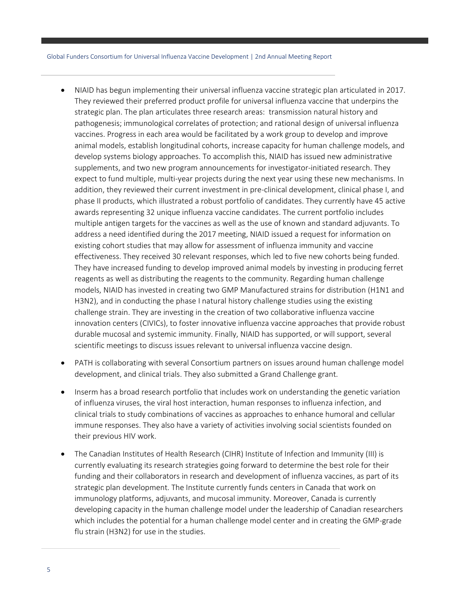- NIAID has begun implementing their universal influenza vaccine strategic plan articulated in 2017. They reviewed their preferred product profile for universal influenza vaccine that underpins the strategic plan. The plan articulates three research areas: transmission natural history and pathogenesis; immunological correlates of protection; and rational design of universal influenza vaccines. Progress in each area would be facilitated by a work group to develop and improve animal models, establish longitudinal cohorts, increase capacity for human challenge models, and develop systems biology approaches. To accomplish this, NIAID has issued new administrative supplements, and two new program announcements for investigator-initiated research. They expect to fund multiple, multi-year projects during the next year using these new mechanisms. In addition, they reviewed their current investment in pre-clinical development, clinical phase I, and phase II products, which illustrated a robust portfolio of candidates. They currently have 45 active awards representing 32 unique influenza vaccine candidates. The current portfolio includes multiple antigen targets for the vaccines as well as the use of known and standard adjuvants. To address a need identified during the 2017 meeting, NIAID issued a request for information on existing cohort studies that may allow for assessment of influenza immunity and vaccine effectiveness. They received 30 relevant responses, which led to five new cohorts being funded. They have increased funding to develop improved animal models by investing in producing ferret reagents as well as distributing the reagents to the community. Regarding human challenge models, NIAID has invested in creating two GMP Manufactured strains for distribution (H1N1 and H3N2), and in conducting the phase I natural history challenge studies using the existing challenge strain. They are investing in the creation of two collaborative influenza vaccine innovation centers (CIVICs), to foster innovative influenza vaccine approaches that provide robust durable mucosal and systemic immunity. Finally, NIAID has supported, or will support, several scientific meetings to discuss issues relevant to universal influenza vaccine design.
- PATH is collaborating with several Consortium partners on issues around human challenge model development, and clinical trials. They also submitted a Grand Challenge grant.
- Inserm has a broad research portfolio that includes work on understanding the genetic variation of influenza viruses, the viral host interaction, human responses to influenza infection, and clinical trials to study combinations of vaccines as approaches to enhance humoral and cellular immune responses. They also have a variety of activities involving social scientists founded on their previous HIV work.
- The Canadian Institutes of Health Research (CIHR) Institute of Infection and Immunity (III) is currently evaluating its research strategies going forward to determine the best role for their funding and their collaborators in research and development of influenza vaccines, as part of its strategic plan development. The Institute currently funds centers in Canada that work on immunology platforms, adjuvants, and mucosal immunity. Moreover, Canada is currently developing capacity in the human challenge model under the leadership of Canadian researchers which includes the potential for a human challenge model center and in creating the GMP-grade flu strain (H3N2) for use in the studies.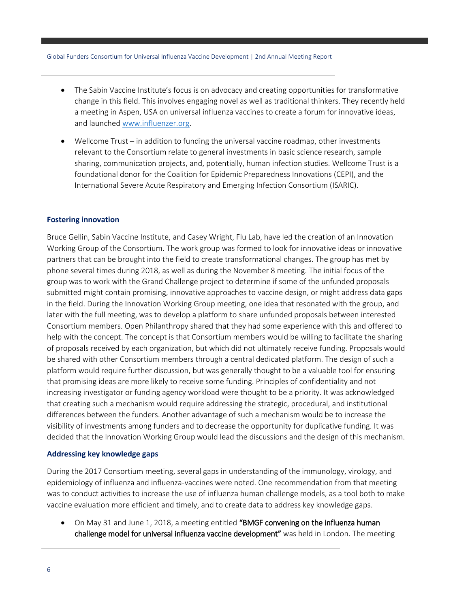- The Sabin Vaccine Institute's focus is on advocacy and creating opportunities for transformative change in this field. This involves engaging novel as well as traditional thinkers. They recently held a meeting in Aspen, USA on universal influenza vaccines to create a forum for innovative ideas, and launched [www.influenzer.org.](http://www.influenzer.org/)
- Wellcome Trust in addition to funding the universal vaccine roadmap, other investments relevant to the Consortium relate to general investments in basic science research, sample sharing, communication projects, and, potentially, human infection studies. Wellcome Trust is a foundational donor for the Coalition for Epidemic Preparedness Innovations (CEPI), and the International Severe Acute Respiratory and Emerging Infection Consortium (ISARIC).

#### **Fostering innovation**

Bruce Gellin, Sabin Vaccine Institute, and Casey Wright, Flu Lab, have led the creation of an Innovation Working Group of the Consortium. The work group was formed to look for innovative ideas or innovative partners that can be brought into the field to create transformational changes. The group has met by phone several times during 2018, as well as during the November 8 meeting. The initial focus of the group was to work with the Grand Challenge project to determine if some of the unfunded proposals submitted might contain promising, innovative approaches to vaccine design, or might address data gaps in the field. During the Innovation Working Group meeting, one idea that resonated with the group, and later with the full meeting, was to develop a platform to share unfunded proposals between interested Consortium members. Open Philanthropy shared that they had some experience with this and offered to help with the concept. The concept is that Consortium members would be willing to facilitate the sharing of proposals received by each organization, but which did not ultimately receive funding. Proposals would be shared with other Consortium members through a central dedicated platform. The design of such a platform would require further discussion, but was generally thought to be a valuable tool for ensuring that promising ideas are more likely to receive some funding. Principles of confidentiality and not increasing investigator or funding agency workload were thought to be a priority. It was acknowledged that creating such a mechanism would require addressing the strategic, procedural, and institutional differences between the funders. Another advantage of such a mechanism would be to increase the visibility of investments among funders and to decrease the opportunity for duplicative funding. It was decided that the Innovation Working Group would lead the discussions and the design of this mechanism.

#### **Addressing key knowledge gaps**

During the 2017 Consortium meeting, several gaps in understanding of the immunology, virology, and epidemiology of influenza and influenza-vaccines were noted. One recommendation from that meeting was to conduct activities to increase the use of influenza human challenge models, as a tool both to make vaccine evaluation more efficient and timely, and to create data to address key knowledge gaps.

 On May 31 and June 1, 2018, a meeting entitled "BMGF convening on the influenza human challenge model for universal influenza vaccine development" was held in London. The meeting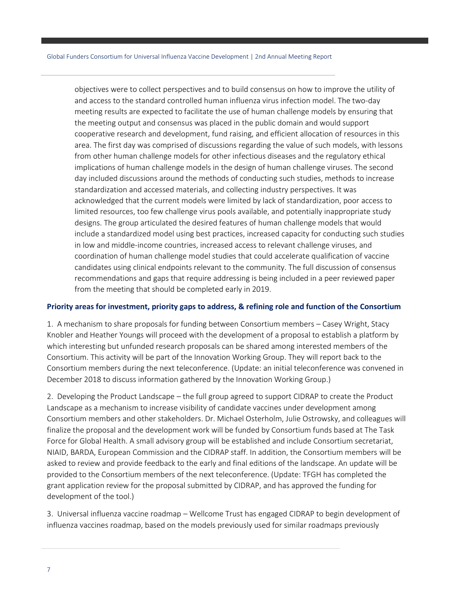objectives were to collect perspectives and to build consensus on how to improve the utility of and access to the standard controlled human influenza virus infection model. The two-day meeting results are expected to facilitate the use of human challenge models by ensuring that the meeting output and consensus was placed in the public domain and would support cooperative research and development, fund raising, and efficient allocation of resources in this area. The first day was comprised of discussions regarding the value of such models, with lessons from other human challenge models for other infectious diseases and the regulatory ethical implications of human challenge models in the design of human challenge viruses. The second day included discussions around the methods of conducting such studies, methods to increase standardization and accessed materials, and collecting industry perspectives. It was acknowledged that the current models were limited by lack of standardization, poor access to limited resources, too few challenge virus pools available, and potentially inappropriate study designs. The group articulated the desired features of human challenge models that would include a standardized model using best practices, increased capacity for conducting such studies in low and middle-income countries, increased access to relevant challenge viruses, and coordination of human challenge model studies that could accelerate qualification of vaccine candidates using clinical endpoints relevant to the community. The full discussion of consensus recommendations and gaps that require addressing is being included in a peer reviewed paper from the meeting that should be completed early in 2019.

#### **Priority areas for investment, priority gaps to address, & refining role and function of the Consortium**

1. A mechanism to share proposals for funding between Consortium members – Casey Wright, Stacy Knobler and Heather Youngs will proceed with the development of a proposal to establish a platform by which interesting but unfunded research proposals can be shared among interested members of the Consortium. This activity will be part of the Innovation Working Group. They will report back to the Consortium members during the next teleconference. (Update: an initial teleconference was convened in December 2018 to discuss information gathered by the Innovation Working Group.)

2. Developing the Product Landscape – the full group agreed to support CIDRAP to create the Product Landscape as a mechanism to increase visibility of candidate vaccines under development among Consortium members and other stakeholders. Dr. Michael Osterholm, Julie Ostrowsky, and colleagues will finalize the proposal and the development work will be funded by Consortium funds based at The Task Force for Global Health. A small advisory group will be established and include Consortium secretariat, NIAID, BARDA, European Commission and the CIDRAP staff. In addition, the Consortium members will be asked to review and provide feedback to the early and final editions of the landscape. An update will be provided to the Consortium members of the next teleconference. (Update: TFGH has completed the grant application review for the proposal submitted by CIDRAP, and has approved the funding for development of the tool.)

3. Universal influenza vaccine roadmap – Wellcome Trust has engaged CIDRAP to begin development of influenza vaccines roadmap, based on the models previously used for similar roadmaps previously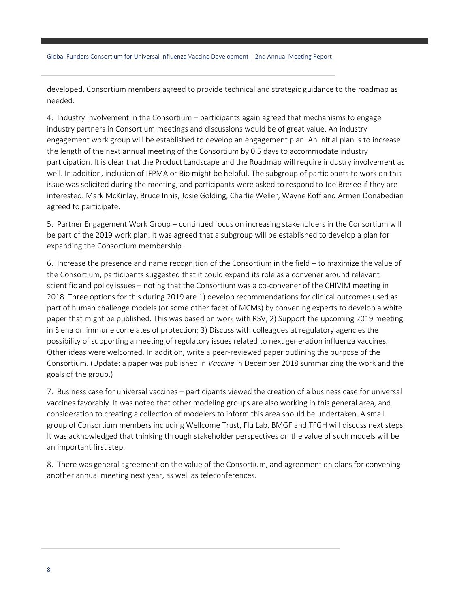developed. Consortium members agreed to provide technical and strategic guidance to the roadmap as needed.

4. Industry involvement in the Consortium – participants again agreed that mechanisms to engage industry partners in Consortium meetings and discussions would be of great value. An industry engagement work group will be established to develop an engagement plan. An initial plan is to increase the length of the next annual meeting of the Consortium by 0.5 days to accommodate industry participation. It is clear that the Product Landscape and the Roadmap will require industry involvement as well. In addition, inclusion of IFPMA or Bio might be helpful. The subgroup of participants to work on this issue was solicited during the meeting, and participants were asked to respond to Joe Bresee if they are interested. Mark McKinlay, Bruce Innis, Josie Golding, Charlie Weller, Wayne Koff and Armen Donabedian agreed to participate.

5. Partner Engagement Work Group – continued focus on increasing stakeholders in the Consortium will be part of the 2019 work plan. It was agreed that a subgroup will be established to develop a plan for expanding the Consortium membership.

6. Increase the presence and name recognition of the Consortium in the field – to maximize the value of the Consortium, participants suggested that it could expand its role as a convener around relevant scientific and policy issues – noting that the Consortium was a co-convener of the CHIVIM meeting in 2018. Three options for this during 2019 are 1) develop recommendations for clinical outcomes used as part of human challenge models (or some other facet of MCMs) by convening experts to develop a white paper that might be published. This was based on work with RSV; 2) Support the upcoming 2019 meeting in Siena on immune correlates of protection; 3) Discuss with colleagues at regulatory agencies the possibility of supporting a meeting of regulatory issues related to next generation influenza vaccines. Other ideas were welcomed. In addition, write a peer-reviewed paper outlining the purpose of the Consortium. (Update: a paper was published in *Vaccine* in December 2018 summarizing the work and the goals of the group.)

7. Business case for universal vaccines – participants viewed the creation of a business case for universal vaccines favorably. It was noted that other modeling groups are also working in this general area, and consideration to creating a collection of modelers to inform this area should be undertaken. A small group of Consortium members including Wellcome Trust, Flu Lab, BMGF and TFGH will discuss next steps. It was acknowledged that thinking through stakeholder perspectives on the value of such models will be an important first step.

8. There was general agreement on the value of the Consortium, and agreement on plans for convening another annual meeting next year, as well as teleconferences.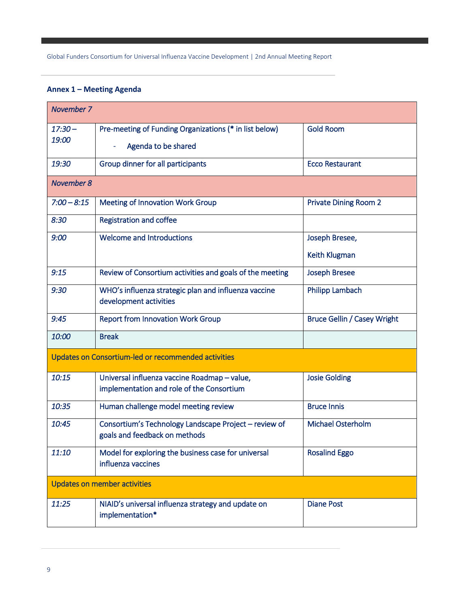### **Annex 1 – Meeting Agenda**

| November 7                                          |                                                                                           |                                    |  |  |
|-----------------------------------------------------|-------------------------------------------------------------------------------------------|------------------------------------|--|--|
| $17:30 -$<br>19:00                                  | Pre-meeting of Funding Organizations (* in list below)                                    | <b>Gold Room</b>                   |  |  |
|                                                     | Agenda to be shared                                                                       |                                    |  |  |
| 19:30                                               | Group dinner for all participants                                                         | <b>Ecco Restaurant</b>             |  |  |
| <b>November 8</b>                                   |                                                                                           |                                    |  |  |
| $7:00 - 8:15$                                       | <b>Meeting of Innovation Work Group</b>                                                   | <b>Private Dining Room 2</b>       |  |  |
| 8:30                                                | <b>Registration and coffee</b>                                                            |                                    |  |  |
| 9:00                                                | <b>Welcome and Introductions</b>                                                          | Joseph Bresee,                     |  |  |
|                                                     |                                                                                           | <b>Keith Klugman</b>               |  |  |
| 9:15                                                | Review of Consortium activities and goals of the meeting                                  | <b>Joseph Bresee</b>               |  |  |
| 9:30                                                | WHO's influenza strategic plan and influenza vaccine<br>development activities            | Philipp Lambach                    |  |  |
| 9:45                                                | <b>Report from Innovation Work Group</b>                                                  | <b>Bruce Gellin / Casey Wright</b> |  |  |
| 10:00                                               | <b>Break</b>                                                                              |                                    |  |  |
| Updates on Consortium-led or recommended activities |                                                                                           |                                    |  |  |
| 10:15                                               | Universal influenza vaccine Roadmap - value,<br>implementation and role of the Consortium | <b>Josie Golding</b>               |  |  |
| 10:35                                               | Human challenge model meeting review                                                      | <b>Bruce Innis</b>                 |  |  |
| 10:45                                               | Consortium's Technology Landscape Project - review of<br>goals and feedback on methods    | <b>Michael Osterholm</b>           |  |  |
| 11:10                                               | Model for exploring the business case for universal<br>influenza vaccines                 | <b>Rosalind Eggo</b>               |  |  |
| <b>Updates on member activities</b>                 |                                                                                           |                                    |  |  |
| 11:25                                               | NIAID's universal influenza strategy and update on<br>implementation*                     | <b>Diane Post</b>                  |  |  |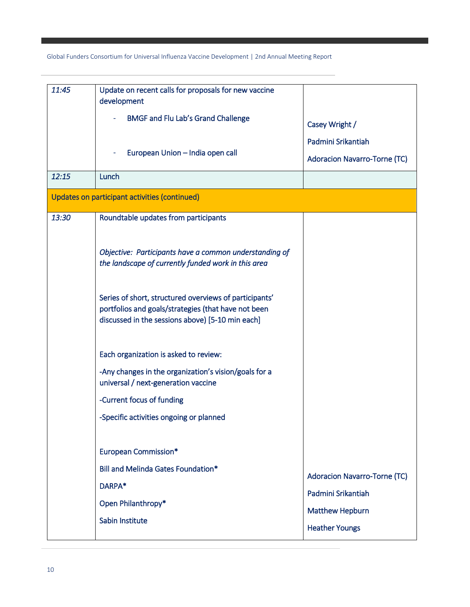| 11:45                                         | Update on recent calls for proposals for new vaccine<br>development                                                                                               |                                     |  |  |  |
|-----------------------------------------------|-------------------------------------------------------------------------------------------------------------------------------------------------------------------|-------------------------------------|--|--|--|
|                                               | <b>BMGF and Flu Lab's Grand Challenge</b>                                                                                                                         | Casey Wright /                      |  |  |  |
|                                               | European Union - India open call                                                                                                                                  | Padmini Srikantiah                  |  |  |  |
|                                               | Lunch                                                                                                                                                             | <b>Adoracion Navarro-Torne (TC)</b> |  |  |  |
| 12:15                                         |                                                                                                                                                                   |                                     |  |  |  |
| Updates on participant activities (continued) |                                                                                                                                                                   |                                     |  |  |  |
| 13:30                                         | Roundtable updates from participants                                                                                                                              |                                     |  |  |  |
|                                               | Objective: Participants have a common understanding of<br>the landscape of currently funded work in this area                                                     |                                     |  |  |  |
|                                               | Series of short, structured overviews of participants'<br>portfolios and goals/strategies (that have not been<br>discussed in the sessions above) [5-10 min each] |                                     |  |  |  |
|                                               | Each organization is asked to review:                                                                                                                             |                                     |  |  |  |
|                                               | -Any changes in the organization's vision/goals for a<br>universal / next-generation vaccine                                                                      |                                     |  |  |  |
|                                               | -Current focus of funding                                                                                                                                         |                                     |  |  |  |
|                                               | -Specific activities ongoing or planned                                                                                                                           |                                     |  |  |  |
|                                               |                                                                                                                                                                   |                                     |  |  |  |
|                                               | <b>European Commission*</b>                                                                                                                                       |                                     |  |  |  |
|                                               | Bill and Melinda Gates Foundation*                                                                                                                                | <b>Adoracion Navarro-Torne (TC)</b> |  |  |  |
|                                               | DARPA*<br>Open Philanthropy*<br>Sabin Institute                                                                                                                   | Padmini Srikantiah                  |  |  |  |
|                                               |                                                                                                                                                                   | <b>Matthew Hepburn</b>              |  |  |  |
|                                               |                                                                                                                                                                   | <b>Heather Youngs</b>               |  |  |  |
|                                               |                                                                                                                                                                   |                                     |  |  |  |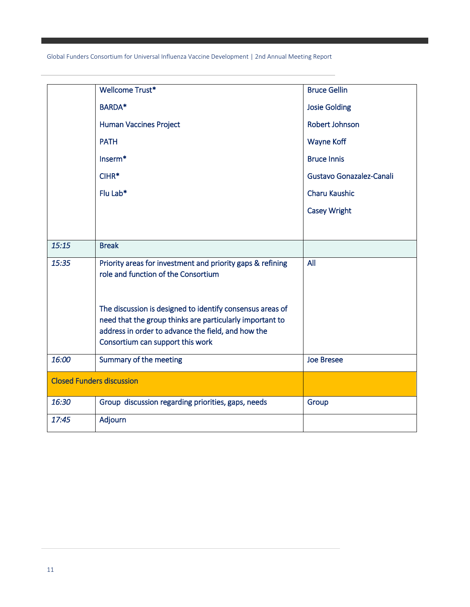|                                  | Wellcome Trust*                                                                                                                                                                                                 | <b>Bruce Gellin</b>      |
|----------------------------------|-----------------------------------------------------------------------------------------------------------------------------------------------------------------------------------------------------------------|--------------------------|
|                                  | <b>BARDA*</b>                                                                                                                                                                                                   | <b>Josie Golding</b>     |
|                                  | <b>Human Vaccines Project</b>                                                                                                                                                                                   | <b>Robert Johnson</b>    |
|                                  | <b>PATH</b>                                                                                                                                                                                                     | <b>Wayne Koff</b>        |
|                                  | Inserm*                                                                                                                                                                                                         | <b>Bruce Innis</b>       |
|                                  | $CIHR*$                                                                                                                                                                                                         | Gustavo Gonazalez-Canali |
|                                  | Flu Lab*                                                                                                                                                                                                        | <b>Charu Kaushic</b>     |
|                                  |                                                                                                                                                                                                                 | <b>Casey Wright</b>      |
|                                  |                                                                                                                                                                                                                 |                          |
| 15:15                            | <b>Break</b>                                                                                                                                                                                                    |                          |
| 15:35                            | Priority areas for investment and priority gaps & refining<br>role and function of the Consortium                                                                                                               | All                      |
|                                  | The discussion is designed to identify consensus areas of<br>need that the group thinks are particularly important to<br>address in order to advance the field, and how the<br>Consortium can support this work |                          |
| 16:00                            | Summary of the meeting                                                                                                                                                                                          | <b>Joe Bresee</b>        |
| <b>Closed Funders discussion</b> |                                                                                                                                                                                                                 |                          |
| 16:30                            | Group discussion regarding priorities, gaps, needs                                                                                                                                                              | Group                    |
| 17:45                            | Adjourn                                                                                                                                                                                                         |                          |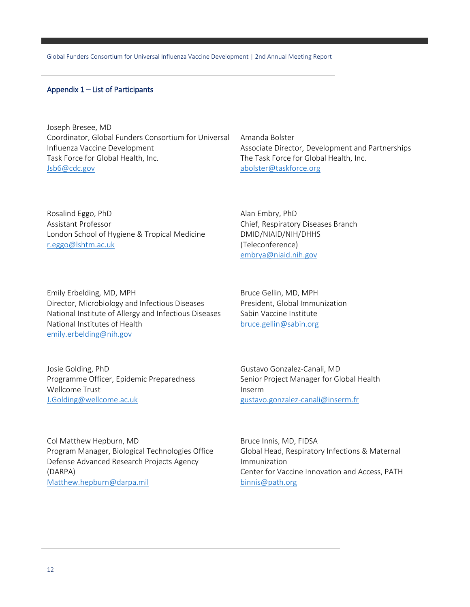#### Appendix 1 – List of Participants

Joseph Bresee, MD Coordinator, Global Funders Consortium for Universal Influenza Vaccine Development Task Force for Global Health, Inc. [Jsb6@cdc.gov](mailto:Jsb6@cdc.gov)

Rosalind Eggo, PhD Assistant Professor London School of Hygiene & Tropical Medicine [r.eggo@lshtm.ac.uk](mailto:r.eggo@lshtm.ac.uk)

Emily Erbelding, MD, MPH Director, Microbiology and Infectious Diseases National Institute of Allergy and Infectious Diseases National Institutes of Health [emily.erbelding@nih.gov](mailto:emily.erbelding@nih.gov)

Amanda Bolster Associate Director, Development and Partnerships The Task Force for Global Health, Inc. [abolster@taskforce.org](mailto:abolster@taskforce.org)

Alan Embry, PhD Chief, Respiratory Diseases Branch DMID/NIAID/NIH/DHHS (Teleconference) [embrya@niaid.nih.gov](mailto:embrya@niaid.nih.gov)

Bruce Gellin, MD, MPH President, Global Immunization Sabin Vaccine Institute [bruce.gellin@sabin.org](mailto:bruce.gellin@sabin.org)

Josie Golding, PhD Programme Officer, Epidemic Preparedness Wellcome Trust [J.Golding@wellcome.ac.uk](mailto:J.Golding@wellcome.ac.uk)

Gustavo Gonzalez-Canali, MD Senior Project Manager for Global Health Inserm [gustavo.gonzalez-canali@inserm.fr](mailto:gustavo.gonzalez-canali@inserm.fr)

Col Matthew Hepburn, MD Program Manager, Biological Technologies Office Defense Advanced Research Projects Agency (DARPA) [Matthew.hepburn@darpa.mil](mailto:Matthew.hepburn@darpa.mil)

Bruce Innis, MD, FIDSA Global Head, Respiratory Infections & Maternal Immunization Center for Vaccine Innovation and Access, PATH [binnis@path.org](mailto:binnis@path.org)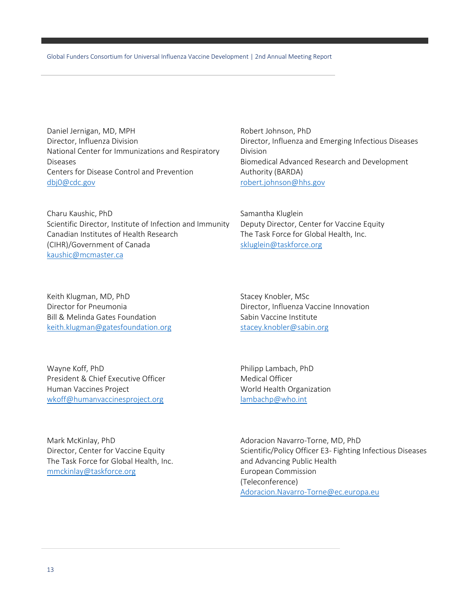Daniel Jernigan, MD, MPH Director, Influenza Division National Center for Immunizations and Respiratory Diseases Centers for Disease Control and Prevention [dbj0@cdc.gov](mailto:dbj0@cdc.gov)

Charu Kaushic, PhD Scientific Director, Institute of Infection and Immunity Canadian Institutes of Health Research (CIHR)/Government of Canada [kaushic@mcmaster.ca](mailto:kaushic@mcmaster.ca)

Robert Johnson, PhD Director, Influenza and Emerging Infectious Diseases Division Biomedical Advanced Research and Development Authority (BARDA) [robert.johnson@hhs.gov](mailto:robert.johnson@hhs.gov)

Samantha Kluglein Deputy Director, Center for Vaccine Equity The Task Force for Global Health, Inc. [skluglein@taskforce.org](mailto:skluglein@taskforce.org)

Keith Klugman, MD, PhD Director for Pneumonia Bill & Melinda Gates Foundation [keith.klugman@gatesfoundation.org](mailto:keith.klugman@gatesfoundation.org) Stacey Knobler, MSc Director, Influenza Vaccine Innovation Sabin Vaccine Institute [stacey.knobler@sabin.org](mailto:stacey.knobler@sabin.org)

Wayne Koff, PhD President & Chief Executive Officer Human Vaccines Project [wkoff@humanvaccinesproject.org](mailto:wkoff@humanvaccinesproject.org)

Philipp Lambach, PhD Medical Officer World Health Organization [lambachp@who.int](mailto:lambachp@who.int)

Mark McKinlay, PhD Director, Center for Vaccine Equity The Task Force for Global Health, Inc. [mmckinlay@taskforce.org](mailto:mmckinlay@taskforce.org)

Adoracion Navarro-Torne, MD, PhD Scientific/Policy Officer E3- Fighting Infectious Diseases and Advancing Public Health European Commission (Teleconference) [Adoracion.Navarro-Torne@ec.europa.eu](mailto:Adoracion.Navarro-Torne@ec.europa.eu)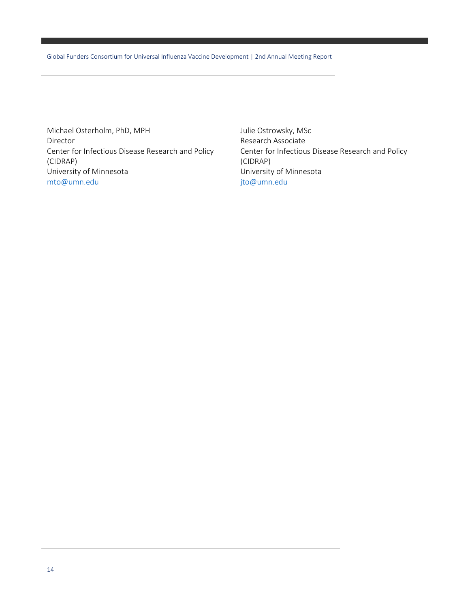Michael Osterholm, PhD, MPH Director Center for Infectious Disease Research and Policy (CIDRAP) University of Minnesota [mto@umn.edu](mailto:mto@umn.edu)

Julie Ostrowsky, MSc Research Associate Center for Infectious Disease Research and Policy (CIDRAP) University of Minnesota [jto@umn.edu](mailto:jto@umn.edu)